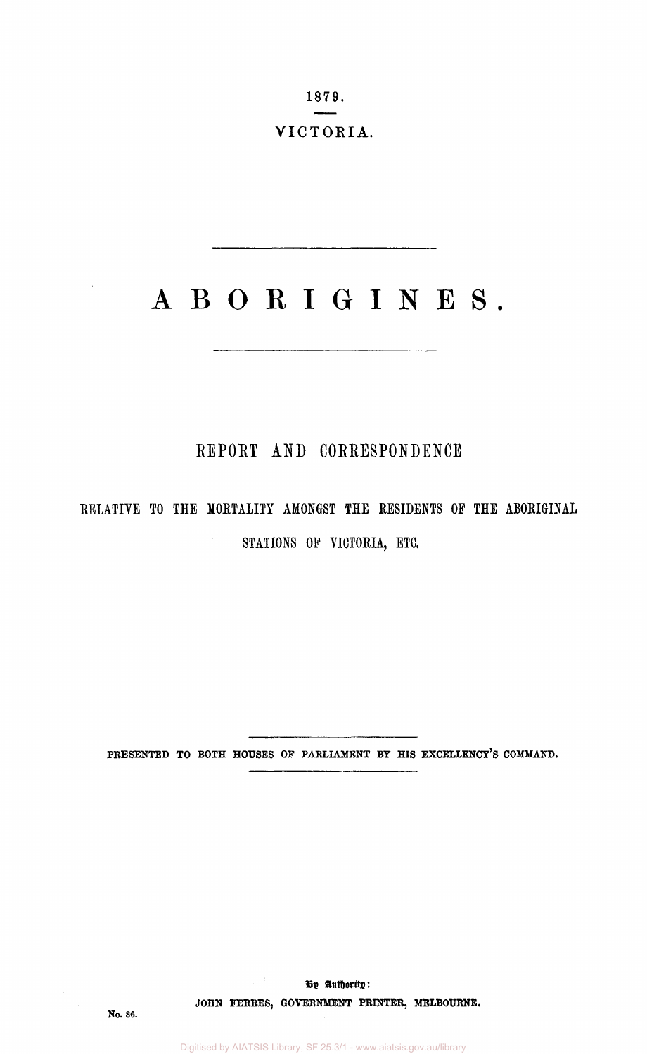1879. VICTORIA.

# ABORIGINES.

## **REPORT AND CORRESPONDENCE**

# RELATIVE TO THE MORTALITY AMONGST THE RESIDENTS OP THE ABORIGINAL STATIONS OP VICTORIA, ETC.

**PRESENTED TO BOTH HOUSES OF PARLIAMENT BY HIS EXCELLENCY'S COMMAND.** 

**By authority: JOHN FERRES, GOVERNMENT PRINTER, MELBOURNE.**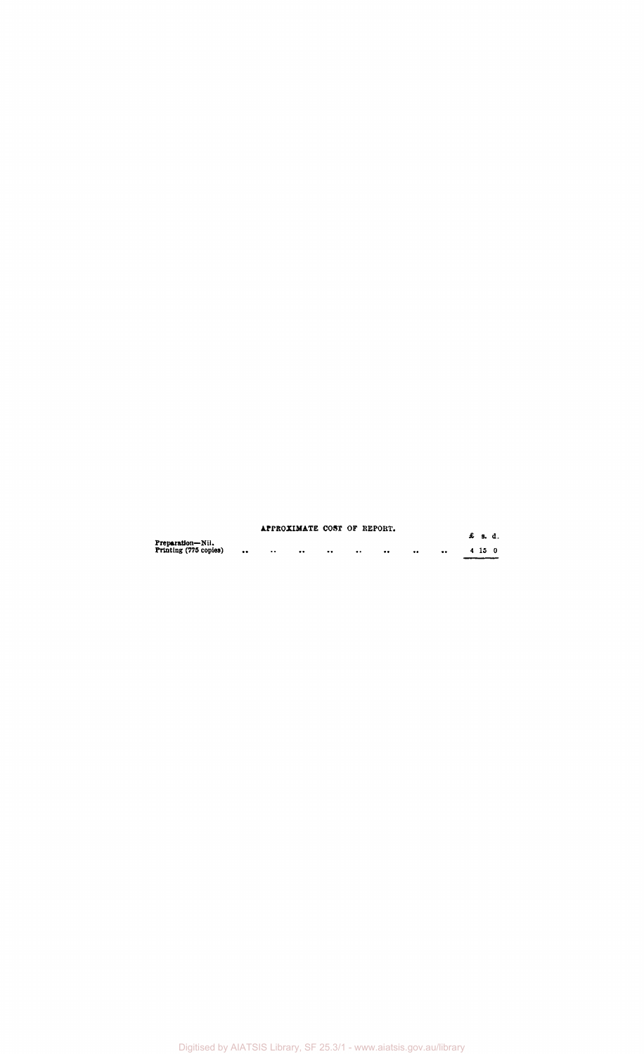|                                                        | APPROXIMATE COST OF REPORT. |                  |                      |                  |           | £ s.d. |  |
|--------------------------------------------------------|-----------------------------|------------------|----------------------|------------------|-----------|--------|--|
| Preparation-Nil.<br>Printing (775 copies)<br>$\bullet$ | $\cdot \cdot$               | $\bullet\bullet$ | <br>$\bullet\bullet$ | <br>$^{\bullet}$ | $\bullet$ | 4 15 0 |  |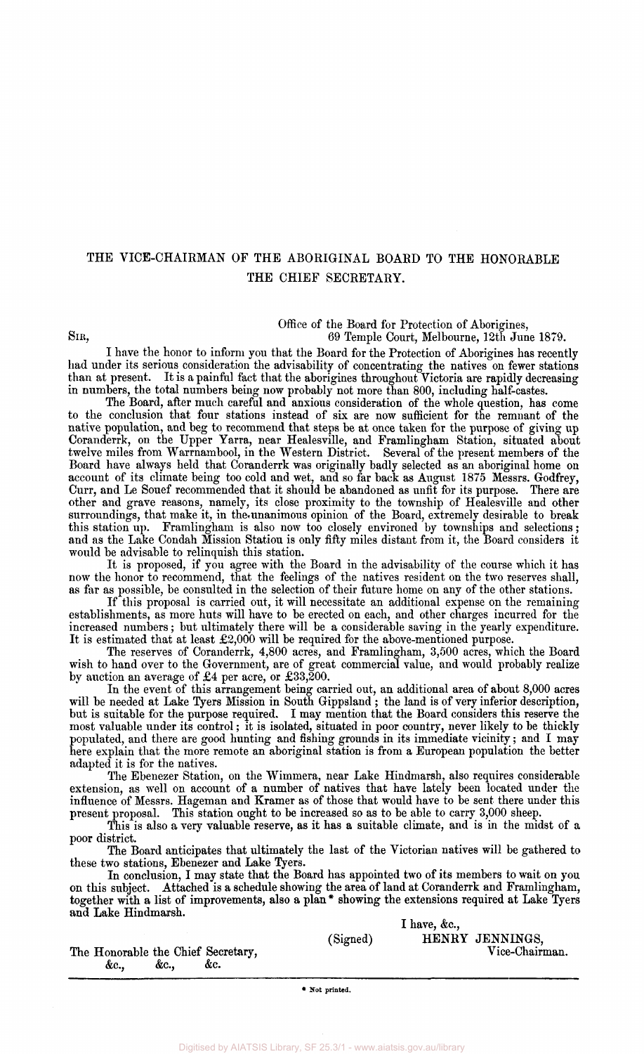## THE VICE-CHAIRMAN OF THE ABORIGINAL BOARD TO THE HONORABLE THE CHIEF SECRETARY.

Office of the Board for Protection of Aborigines,

SIR, 69 Temple Court, Melbourne, 12th June 1879.

I have the honor to inform you that the Board for the Protection of Aborigines has recently had under its serious consideration the advisability of concentrating the natives on fewer stations than at present. It is a painful fact that the aborigines throughout Victoria are rapidly decreasing in numbers, the total numbers being now probably not more than 800, including half-castes.

The Board, after much careful and anxious consideration of the whole question, has come to the conclusion that four stations instead of six are now sufficient for the remnant of the native population, and beg to recommend that steps be at once taken for the purpose of giving up Coranderrk, on the Upper Yarra, near Healesville, and Framlingham Station, situated about twelve miles from Warrnambool, in the Western District. Several of the present members of the Board have always held that Coranderrk was originally badly selected as an aboriginal home on account of its climate being too cold and wet, and so far back as August 1875 Messrs. Godfrey, Curr, and Le Souef recommended that it should be abandoned as unfit for its purpose. There are other and grave reasons, namely, its close proximity to the township of Healesville and other surroundings, that make it, in the unanimous opinion of the Board, extremely desirable to break this station up. Framlingham is also now too closely environed by townships and selections; and as the Lake Condah Mission Station is only fifty miles distant from it, the Board considers it would be advisable to relinquish this station.

It is proposed, if you agree with the Board in the advisability of the course which it has now the honor to recommend, that the feelings of the natives resident on the two reserves shall, as far as possible, be consulted in the selection of their future home on any of the other stations.

If this proposal is carried out, it will necessitate an additional expense on the remaining establishments, as more huts will have to be erected on each, and other charges incurred for the increased numbers; but ultimately there will be a considerable saving in the yearly expenditure. It is estimated that at least £2,000 will be required for the above-mentioned purpose.

The reserves of Coranderrk, 4,800 acres, and Framlingham, 3,500 acres, which the Board wish to hand over to the Government, are of great commercial value, and would probably realize by auction an average of £4 per acre, or £33,200.

In the event of this arrangement being carried out, an additional area of about 8,000 acres will be needed at Lake Tyers Mission in South Gippsland ; the land is of very inferior description, but is suitable for the purpose required. I may mention that the Board considers this reserve the most valuable under its control; it is isolated, situated in poor country, never likely to be thickly populated, and there are good hunting and fishing grounds in its immediate vicinity; and I may here explain that the more remote an aboriginal station is from a European population the better adapted it is for the natives.

The Ebenezer Station, on the Wimmera, near Lake Hindmarsh, also requires considerable extension, as well on account of a number of natives that have lately been located under the influence of Messrs. Hageman and Kramer as of those that would have to be sent there under this present proposal. This station ought to be increased so as to be able to carry 3,000 sheep.

This is also a very valuable reserve, as it has a suitable climate, and is in the midst of a poor district.

The Board anticipates that ultimately the last of the Victorian natives will be gathered to these two stations, Ebenezer and Lake Tyers.

In conclusion, I may state that the Board has appointed two of its members to wait on you on this subject. Attached is a schedule showing the area of land at Coranderrk and Framlingham, together with a list of improvements, also a plan \* showing the extensions required at Lake Tyers and Lake Hindmarsh.

|                                                        | $\blacksquare$ have, &c.,                     |
|--------------------------------------------------------|-----------------------------------------------|
| The Honorable the Chief Secretary,<br>&c.<br>&c<br>&c. | HENRY JENNINGS.<br>(Signed)<br>Vice-Chairman. |

**• Sot printed.**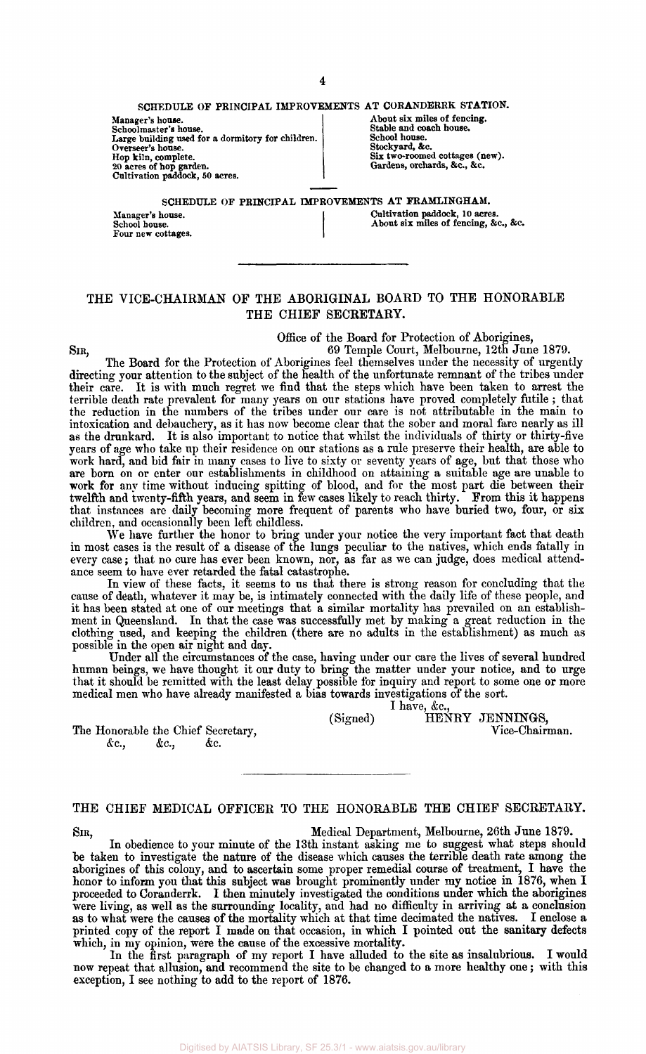#### SCHEDULE OF PRINCIPAL IMPROVEMENTS AT CORANDERRK STATION.

Manager's house. Schoolmaster's house. Large building used for a dormitory for children. Overseer's house. Hop kiln, complete. 20 acres of hop garden. Cultivation paddock, SO acres.

Manager's house. School house. Four new cottages.

About six miles of fencing. Stable and coach house. School house. Stockyard, &c. Six two-roomed cottages (new). Gardens, orchards, &c, &c.

SCHEDULE OF PRINCIPAL IMPROVEMENTS AT FRAMLINGHAM.

Cultivation paddock, 10 acres. About six miles of fencing, &c, &c.

#### THE VICE-CHAIRMAN OF THE ABORIGINAL BOARD TO THE HONORABLE THE CHIEF SECRETARY.

Office of the Board for Protection of Aborigines,

SIR, 69 Temple Court, Melbourne, 12th June 1879. The Board for the Protection of Aborigines feel themselves under the necessity of urgently directing your attention to the subject of the health of the unfortunate remnant of the tribes under their care. It is with much regret we find that the steps which have been taken to arrest the terrible death rate prevalent for many years on our stations have proved completely futile ; that the reduction in the numbers of the tribes under our care is not attributable in the main to intoxication and debauchery, as it has now become clear that the sober and moral fare nearly as ill as the drunkard. It is also important to notice that whilst the individuals of thirty or thirty-five years of age who take up their residence on our stations as a rule preserve their health, are able to work hard, and bid fair in many cases to live to sixty or seventy years of age, but that those who are born on or enter our establishments in childhood on attaining a suitable age are unable to work for any time without inducing spitting of blood, and for the most part die between their twelfth and twenty-fifth years, and seem in few cases likely to reach thirty. From this it happens that instances are daily becoming more frequent of parents who have buried two, four, or six children, and occasionally been left childless.

We have further the honor to bring under your notice the very important fact that death in most cases is the result of a disease of the lungs peculiar to the natives, which ends fatally in every case; that no cure has ever been known, nor, as far as we can judge, does medical attendance seem to have ever retarded the fatal catastrophe.

In view of these facts, it seems to us that there is strong reason for concluding that the cause of death, whatever it may be, is intimately connected with the daily life of these people, and it has been stated at one of our meetings that a similar mortality has prevailed on an establishment in Queensland. In that the case was successfully met by making a great reduction in the clothing used, and keeping the children (there are no adults in the establishment) as much as possible in the open air night and day.

Under all the circumstances of the case, having under our care the lives of several hundred human beings, we have thought it our duty to bring the matter under your notice, and to urge that it should be remitted with the least delay possible for inquiry and report to some one or more medical men who have already manifested a bias towards investigations of the sort.

(Signed) HENRY JENNINGS,<br>Vice-Chairman.

The Honorable the Chief Secretary,  $\&c., \quad \&c., \quad \&c.$ *&c, &c, &c.* 

### THE CHIEF MEDICAL OFFICER TO THE HONORABLE THE CHIEF SECRETARY.

SIR, Medical Department, Melbourne, 26th June 1879.

I have, &c,

In obedience to your minute of the 13th instant asking me to suggest what steps should be taken to investigate the nature of the disease which causes the terrible death rate among the aborigines of this colony, and to ascertain some proper remedial course of treatment, I have the honor to inform you that this subject was brought prominently under my notice in 1876, when I proceeded to Coranderrk. I then minutely investigated the conditions under which the aborigines were living, as well as the surrounding locality, and had no difficulty in arriving at a conclusion as to what were the causes of the mortality which at that time decimated the natives. I enclose a printed copy of the report I made on that occasion, in which I pointed out the sanitary defects which, in my opinion, were the cause of the excessive mortality.

In the first paragraph of my report I have alluded to the site as insalubrious. I would now repeat that allusion, and recommend the site to be changed to a more healthy one; with this exception, I see nothing to add to the report of 1876.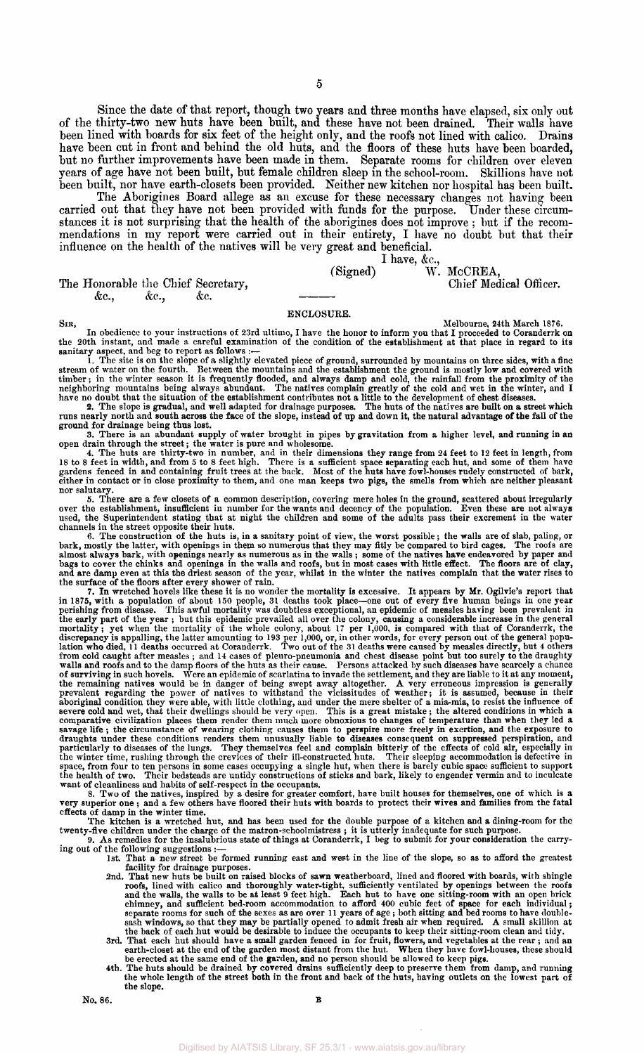Since the date of that report, though two years and three months have elapsed, six only out of the thirty-two new huts have been built, and these have not been drained. Their walls have been lined with boards for six feet of the height only, and the roofs not lined with calico. Drains have been cut in front and behind the old huts, and the floors of these huts have been boarded, but no further improvements have been made in them. Separate rooms for children over eleven years of age have not been built, but female children sleep in the school-room. Skillions have not been built, nor have earth-closets been provided. Neither new kitchen nor hospital has been built.

The Aborigines Board allege as an excuse for these necessary changes not having been carried out that they have not been provided with funds for the purpose. Under these circumstances it is not surprising that the health of the aborigines does not improve ; but if the recommendations in my report were carried out in their entirety, I have no doubt but that their influence on the health of the natives will be very great and beneficial. I have, &c,

#### The Honorable the Chief Secretary,<br>  $\&c.,\qquad \&c.,\qquad \&c.$  $\&c.,$

(Signed) W. McCREA,

ENCLOSURE.

Sin,<br>In obedience to your instructions of 23rd ultimo, I have the honor to inform you that I proceeded to Coranderrk on<br>the 20th instant, and made a careful examination of the condition of the establishment at that placece

open drain through the street; the water is pure and wholesome.<br>4. The huts are thirty-two in number, and in their dimensions they range from 24 feet to 12 feet in length, from<br>18 to 8 feet in width, and from 5 to 8 feet h nor salutary.

5. There are a few closets of a common description, covering mere holes in the ground, scattered about irregularly<br>over the establishment, insufficient in number for the wants and decency of the population. Even these are

channels in the street opposite their huts.<br>6. The construction of the huts is, in a sanitary point of view, the worst possible; the walls are of slab, paling, or<br>bark, mostly the latter, with openings in them so numerous

7. In wretched hores is it as no women the mortality is excessive. It appears by Mr. Oglive's report that the permining from discussive permining from discussive represhing from discussive represhing from discussive repre

- facility for drainage purposes. 2nd. That new huts be built on raised blocks of sawn weatherboard, lined and floored with boards, with shingle roofs, lined with calico and thoroughly water-tight, sufficiently ventilated by openings between the roofs and the walls to be at least 9 feet high. Each hut to have one sitting-room with an open brick chimney, and suffici
- 
-